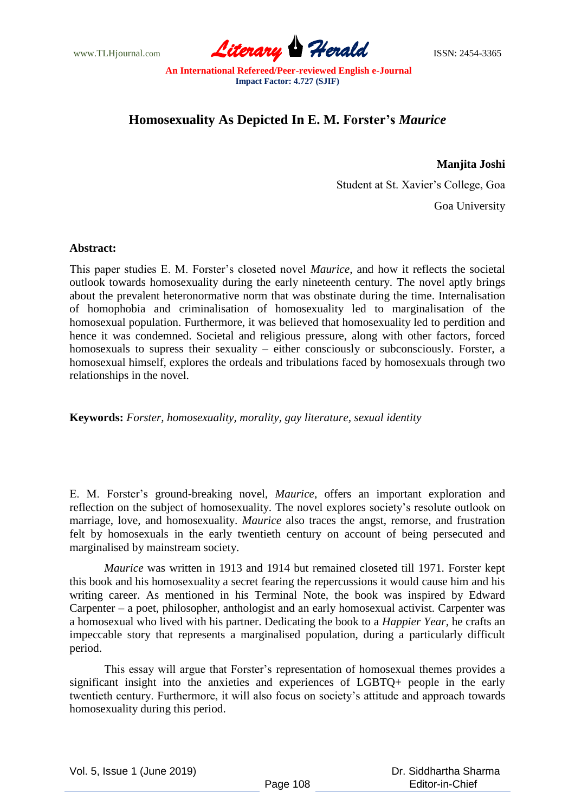www.TLHjournal.com **Literary Herald Herald** ISSN: 2454-3365

## **Homosexuality As Depicted In E. M. Forster's** *Maurice*

## **Manjita Joshi**

Student at St. Xavier"s College, Goa

Goa University

## **Abstract:**

This paper studies E. M. Forster"s closeted novel *Maurice*, and how it reflects the societal outlook towards homosexuality during the early nineteenth century. The novel aptly brings about the prevalent heteronormative norm that was obstinate during the time. Internalisation of homophobia and criminalisation of homosexuality led to marginalisation of the homosexual population. Furthermore, it was believed that homosexuality led to perdition and hence it was condemned. Societal and religious pressure, along with other factors, forced homosexuals to supress their sexuality – either consciously or subconsciously. Forster, a homosexual himself, explores the ordeals and tribulations faced by homosexuals through two relationships in the novel.

**Keywords:** *Forster, homosexuality, morality, gay literature, sexual identity*

E. M. Forster"s ground-breaking novel, *Maurice*, offers an important exploration and reflection on the subject of homosexuality. The novel explores society"s resolute outlook on marriage, love, and homosexuality. *Maurice* also traces the angst, remorse, and frustration felt by homosexuals in the early twentieth century on account of being persecuted and marginalised by mainstream society.

*Maurice* was written in 1913 and 1914 but remained closeted till 1971. Forster kept this book and his homosexuality a secret fearing the repercussions it would cause him and his writing career. As mentioned in his Terminal Note, the book was inspired by Edward Carpenter – a poet, philosopher, anthologist and an early homosexual activist. Carpenter was a homosexual who lived with his partner. Dedicating the book to a *Happier Year*, he crafts an impeccable story that represents a marginalised population, during a particularly difficult period.

This essay will argue that Forster"s representation of homosexual themes provides a significant insight into the anxieties and experiences of LGBTQ+ people in the early twentieth century. Furthermore, it will also focus on society"s attitude and approach towards homosexuality during this period.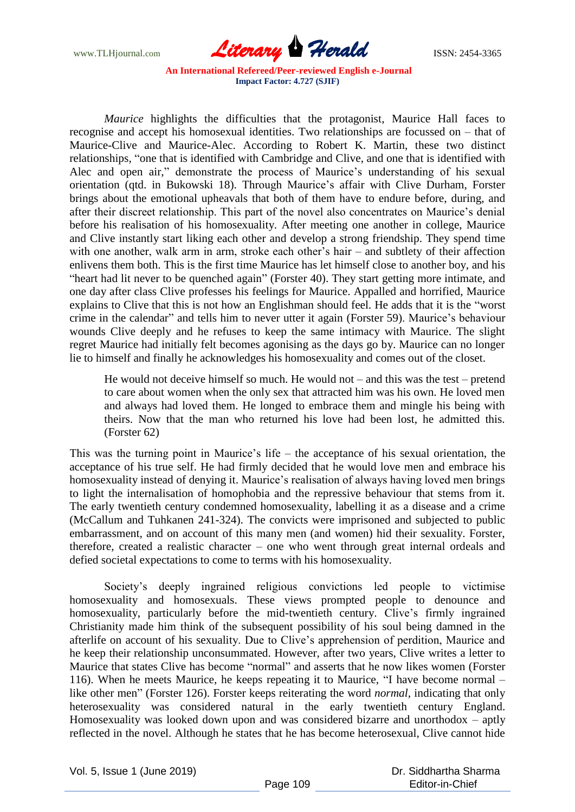www.TLHjournal.com **Literary Herald ISSN: 2454-3365** 

*Maurice* highlights the difficulties that the protagonist, Maurice Hall faces to recognise and accept his homosexual identities. Two relationships are focussed on – that of Maurice-Clive and Maurice-Alec. According to Robert K. Martin, these two distinct relationships, "one that is identified with Cambridge and Clive, and one that is identified with Alec and open air," demonstrate the process of Maurice's understanding of his sexual orientation (qtd. in Bukowski 18). Through Maurice's affair with Clive Durham, Forster brings about the emotional upheavals that both of them have to endure before, during, and after their discreet relationship. This part of the novel also concentrates on Maurice"s denial before his realisation of his homosexuality. After meeting one another in college, Maurice and Clive instantly start liking each other and develop a strong friendship. They spend time with one another, walk arm in arm, stroke each other's hair – and subtlety of their affection enlivens them both. This is the first time Maurice has let himself close to another boy, and his "heart had lit never to be quenched again" (Forster 40). They start getting more intimate, and one day after class Clive professes his feelings for Maurice. Appalled and horrified, Maurice explains to Clive that this is not how an Englishman should feel. He adds that it is the "worst crime in the calendar" and tells him to never utter it again (Forster 59). Maurice"s behaviour wounds Clive deeply and he refuses to keep the same intimacy with Maurice. The slight regret Maurice had initially felt becomes agonising as the days go by. Maurice can no longer lie to himself and finally he acknowledges his homosexuality and comes out of the closet.

He would not deceive himself so much. He would not – and this was the test – pretend to care about women when the only sex that attracted him was his own. He loved men and always had loved them. He longed to embrace them and mingle his being with theirs. Now that the man who returned his love had been lost, he admitted this. (Forster 62)

This was the turning point in Maurice's life – the acceptance of his sexual orientation, the acceptance of his true self. He had firmly decided that he would love men and embrace his homosexuality instead of denying it. Maurice's realisation of always having loved men brings to light the internalisation of homophobia and the repressive behaviour that stems from it. The early twentieth century condemned homosexuality, labelling it as a disease and a crime (McCallum and Tuhkanen 241-324). The convicts were imprisoned and subjected to public embarrassment, and on account of this many men (and women) hid their sexuality. Forster, therefore, created a realistic character – one who went through great internal ordeals and defied societal expectations to come to terms with his homosexuality.

Society's deeply ingrained religious convictions led people to victimise homosexuality and homosexuals. These views prompted people to denounce and homosexuality, particularly before the mid-twentieth century. Clive's firmly ingrained Christianity made him think of the subsequent possibility of his soul being damned in the afterlife on account of his sexuality. Due to Clive"s apprehension of perdition, Maurice and he keep their relationship unconsummated. However, after two years, Clive writes a letter to Maurice that states Clive has become "normal" and asserts that he now likes women (Forster 116). When he meets Maurice, he keeps repeating it to Maurice, "I have become normal – like other men" (Forster 126). Forster keeps reiterating the word *normal*, indicating that only heterosexuality was considered natural in the early twentieth century England. Homosexuality was looked down upon and was considered bizarre and unorthodox – aptly reflected in the novel. Although he states that he has become heterosexual, Clive cannot hide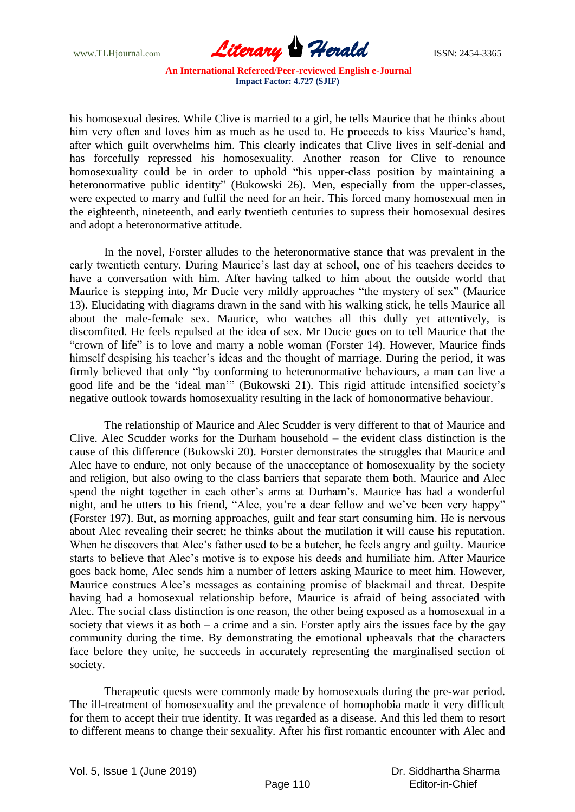

his homosexual desires. While Clive is married to a girl, he tells Maurice that he thinks about him very often and loves him as much as he used to. He proceeds to kiss Maurice's hand, after which guilt overwhelms him. This clearly indicates that Clive lives in self-denial and has forcefully repressed his homosexuality. Another reason for Clive to renounce homosexuality could be in order to uphold "his upper-class position by maintaining a heteronormative public identity" (Bukowski 26). Men, especially from the upper-classes, were expected to marry and fulfil the need for an heir. This forced many homosexual men in the eighteenth, nineteenth, and early twentieth centuries to supress their homosexual desires and adopt a heteronormative attitude.

In the novel, Forster alludes to the heteronormative stance that was prevalent in the early twentieth century. During Maurice's last day at school, one of his teachers decides to have a conversation with him. After having talked to him about the outside world that Maurice is stepping into, Mr Ducie very mildly approaches "the mystery of sex" (Maurice 13). Elucidating with diagrams drawn in the sand with his walking stick, he tells Maurice all about the male-female sex. Maurice, who watches all this dully yet attentively, is discomfited. He feels repulsed at the idea of sex. Mr Ducie goes on to tell Maurice that the "crown of life" is to love and marry a noble woman (Forster 14). However, Maurice finds himself despising his teacher's ideas and the thought of marriage. During the period, it was firmly believed that only "by conforming to heteronormative behaviours, a man can live a good life and be the "ideal man"" (Bukowski 21). This rigid attitude intensified society"s negative outlook towards homosexuality resulting in the lack of homonormative behaviour.

The relationship of Maurice and Alec Scudder is very different to that of Maurice and Clive. Alec Scudder works for the Durham household – the evident class distinction is the cause of this difference (Bukowski 20). Forster demonstrates the struggles that Maurice and Alec have to endure, not only because of the unacceptance of homosexuality by the society and religion, but also owing to the class barriers that separate them both. Maurice and Alec spend the night together in each other's arms at Durham's. Maurice has had a wonderful night, and he utters to his friend, "Alec, you"re a dear fellow and we"ve been very happy" (Forster 197). But, as morning approaches, guilt and fear start consuming him. He is nervous about Alec revealing their secret; he thinks about the mutilation it will cause his reputation. When he discovers that Alec's father used to be a butcher, he feels angry and guilty. Maurice starts to believe that Alec"s motive is to expose his deeds and humiliate him. After Maurice goes back home, Alec sends him a number of letters asking Maurice to meet him. However, Maurice construes Alec"s messages as containing promise of blackmail and threat. Despite having had a homosexual relationship before, Maurice is afraid of being associated with Alec. The social class distinction is one reason, the other being exposed as a homosexual in a society that views it as both  $-$  a crime and a sin. Forster aptly airs the issues face by the gay community during the time. By demonstrating the emotional upheavals that the characters face before they unite, he succeeds in accurately representing the marginalised section of society.

Therapeutic quests were commonly made by homosexuals during the pre-war period. The ill-treatment of homosexuality and the prevalence of homophobia made it very difficult for them to accept their true identity. It was regarded as a disease. And this led them to resort to different means to change their sexuality. After his first romantic encounter with Alec and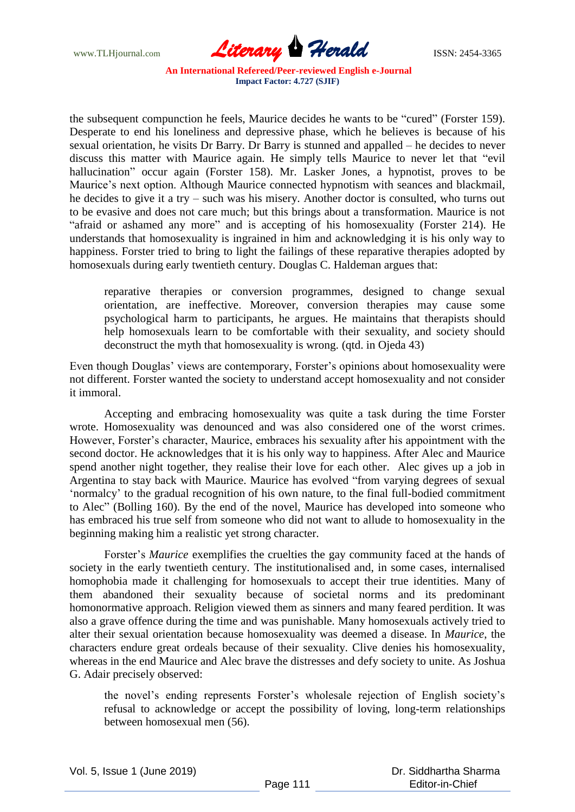www.TLHjournal.com **Literary Herald Herald ISSN: 2454-3365** 

the subsequent compunction he feels, Maurice decides he wants to be "cured" (Forster 159). Desperate to end his loneliness and depressive phase, which he believes is because of his sexual orientation, he visits Dr Barry. Dr Barry is stunned and appalled – he decides to never discuss this matter with Maurice again. He simply tells Maurice to never let that "evil hallucination" occur again (Forster 158). Mr. Lasker Jones, a hypnotist, proves to be Maurice"s next option. Although Maurice connected hypnotism with seances and blackmail, he decides to give it a try – such was his misery. Another doctor is consulted, who turns out to be evasive and does not care much; but this brings about a transformation. Maurice is not "afraid or ashamed any more" and is accepting of his homosexuality (Forster 214). He understands that homosexuality is ingrained in him and acknowledging it is his only way to happiness. Forster tried to bring to light the failings of these reparative therapies adopted by homosexuals during early twentieth century. Douglas C. Haldeman argues that:

reparative therapies or conversion programmes, designed to change sexual orientation, are ineffective. Moreover, conversion therapies may cause some psychological harm to participants, he argues. He maintains that therapists should help homosexuals learn to be comfortable with their sexuality, and society should deconstruct the myth that homosexuality is wrong. (qtd. in Ojeda 43)

Even though Douglas' views are contemporary, Forster's opinions about homosexuality were not different. Forster wanted the society to understand accept homosexuality and not consider it immoral.

Accepting and embracing homosexuality was quite a task during the time Forster wrote. Homosexuality was denounced and was also considered one of the worst crimes. However, Forster's character, Maurice, embraces his sexuality after his appointment with the second doctor. He acknowledges that it is his only way to happiness. After Alec and Maurice spend another night together, they realise their love for each other. Alec gives up a job in Argentina to stay back with Maurice. Maurice has evolved "from varying degrees of sexual "normalcy" to the gradual recognition of his own nature, to the final full-bodied commitment to Alec" (Bolling 160). By the end of the novel, Maurice has developed into someone who has embraced his true self from someone who did not want to allude to homosexuality in the beginning making him a realistic yet strong character.

Forster"s *Maurice* exemplifies the cruelties the gay community faced at the hands of society in the early twentieth century. The institutionalised and, in some cases, internalised homophobia made it challenging for homosexuals to accept their true identities. Many of them abandoned their sexuality because of societal norms and its predominant homonormative approach. Religion viewed them as sinners and many feared perdition. It was also a grave offence during the time and was punishable. Many homosexuals actively tried to alter their sexual orientation because homosexuality was deemed a disease. In *Maurice*, the characters endure great ordeals because of their sexuality. Clive denies his homosexuality, whereas in the end Maurice and Alec brave the distresses and defy society to unite. As Joshua G. Adair precisely observed:

the novel"s ending represents Forster"s wholesale rejection of English society"s refusal to acknowledge or accept the possibility of loving, long-term relationships between homosexual men (56).